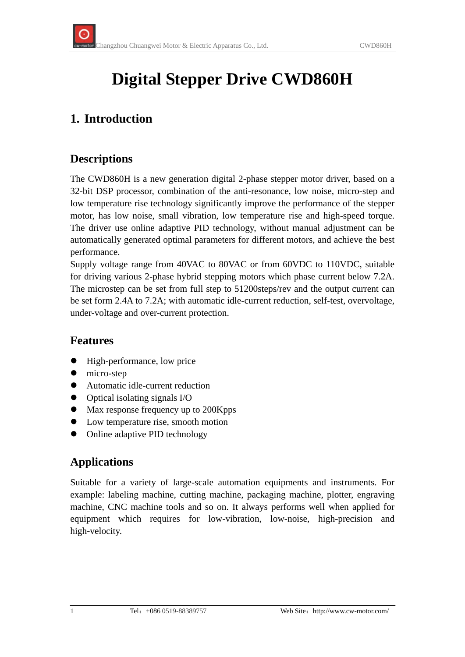# **Digital Stepper Drive CWD860H**

### **1. Introduction**

#### **Descriptions**

The CWD860H is a new generation digital 2-phase stepper motor driver, based on a 32-bit DSP processor, combination of the anti-resonance, low noise, micro-step and low temperature rise technology significantly improve the performance of the stepper motor, has low noise, small vibration, low temperature rise and high-speed torque. The driver use online adaptive PID technology, without manual adjustment can be automatically generated optimal parameters for different motors, and achieve the best performance.

Supply voltage range from 40VAC to 80VAC or from 60VDC to 110VDC, suitable for driving various 2-phase hybrid stepping motors which phase current below 7.2A. The microstep can be set from full step to 51200steps/rev and the output current can be set form 2.4A to 7.2A; with automatic idle-current reduction, self-test, overvoltage, under-voltage and over-current protection.

#### **Features**

- High-performance, low price
- $\bullet$  micro-step
- Automatic idle-current reduction
- $\bullet$  Optical isolating signals I/O
- Max response frequency up to 200Kpps
- Low temperature rise, smooth motion
- Online adaptive PID technology

#### **Applications**

Suitable for a variety of large-scale automation equipments and instruments. For example: labeling machine, cutting machine, packaging machine, plotter, engraving machine, CNC machine tools and so on. It always performs well when applied for equipment which requires for low-vibration, low-noise, high-precision and high-velocity.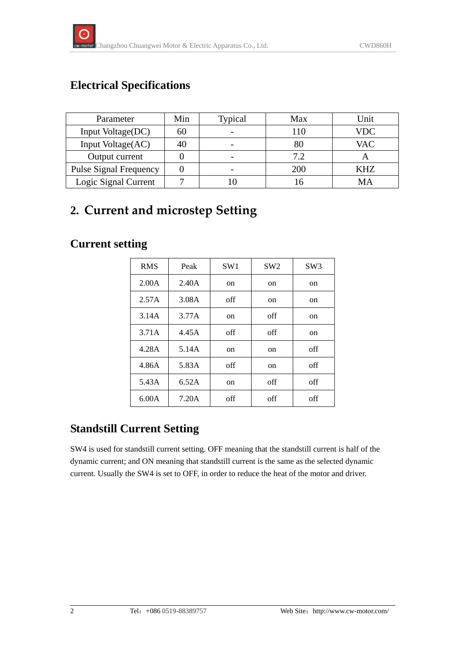# **Electrical Specifications**

| Parameter                     | Min | Typical | Max | Unit       |
|-------------------------------|-----|---------|-----|------------|
| Input Voltage(DC)             | 60  |         | 110 | VDC        |
| Input Voltage(AC)             | 40  |         | 80  | <b>VAC</b> |
| Output current                |     |         | 7.2 |            |
| <b>Pulse Signal Frequency</b> |     |         | 200 | KHZ        |
| Logic Signal Current          |     |         |     | MА         |

# **2. Current and microstep Setting**

## **Current setting**

| <b>RMS</b> | Peak  | SW <sub>1</sub> | SW2           | SW <sub>3</sub> |
|------------|-------|-----------------|---------------|-----------------|
| 2.00A      | 2.40A | on              | on            | on              |
| 2.57A      | 3.08A | off             | on            | on              |
| 3.14A      | 3.77A | on              | off           | on              |
| 3.71A      | 4.45A | off             | off           | on              |
| 4.28A      | 5.14A | on              | on            | off             |
| 4.86A      | 5.83A | off             | <sub>on</sub> | off             |
| 5.43A      | 6.52A | on              | off           | off             |
| 6.00A      | 7.20A | off             | off           | off             |

# **Standstill Current Setting**

SW4 is used for standstill current setting. OFF meaning that the standstill current is half of the dynamic current; and ON meaning that standstill current is the same as the selected dynamic current. Usually the SW4 is set to OFF, in order to reduce the heat of the motor and driver.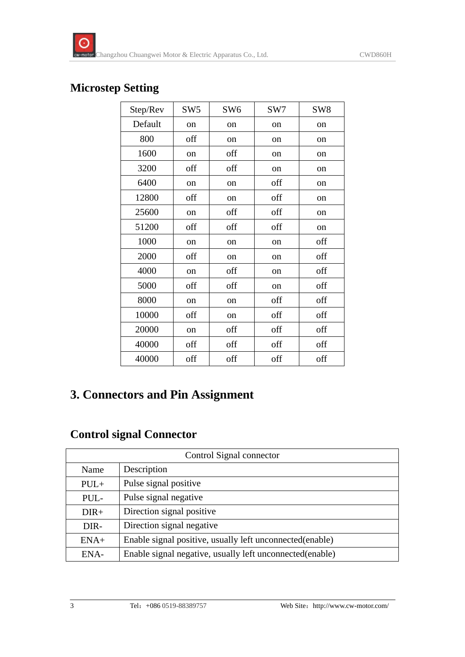#### **Microstep Setting**

| Step/Rev | SW <sub>5</sub> | SW <sub>6</sub> | SW7           | SW <sub>8</sub> |
|----------|-----------------|-----------------|---------------|-----------------|
| Default  | on              | on              | on            | on              |
| 800      | off             | on              | on            | on              |
| 1600     | on              | off             | on            | on              |
| 3200     | off             | off             | on            | on              |
| 6400     | on              | on              | off           | on              |
| 12800    | off             | on              | off           | on              |
| 25600    | on              | off             | off           | on              |
| 51200    | off             | off             | off           | on              |
| 1000     | on              | on              | on            | off             |
| 2000     | off             | on              | on            | off             |
| 4000     | on              | off             | on            | off             |
| 5000     | off             | off             | <sub>on</sub> | off             |
| 8000     | on              | on              | off           | off             |
| 10000    | off             | on              | off           | off             |
| 20000    | on              | off             | off           | off             |
| 40000    | off             | off             | off           | off             |
| 40000    | off             | off             | off           | off             |

## **3. Connectors and Pin Assignment**

#### **Control signal Connector**

| Control Signal connector |                                                           |  |
|--------------------------|-----------------------------------------------------------|--|
| Name                     | Description                                               |  |
| $PUL+$                   | Pulse signal positive                                     |  |
| PUL-                     | Pulse signal negative                                     |  |
| $DIR+$                   | Direction signal positive                                 |  |
| DIR-                     | Direction signal negative                                 |  |
| $ENA+$                   | Enable signal positive, usually left unconnected(enable)  |  |
| ENA-                     | Enable signal negative, usually left unconnected (enable) |  |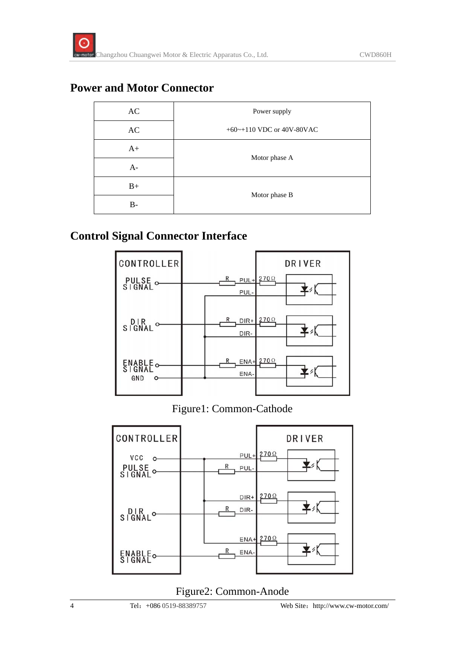#### **Power and Motor Connector**

| AC        | Power supply                    |  |
|-----------|---------------------------------|--|
| AC        | $+60$ ~ $+110$ VDC or 40V-80VAC |  |
| $A+$      | Motor phase A                   |  |
| $A-$      |                                 |  |
| $B+$      |                                 |  |
| <b>B-</b> | Motor phase B                   |  |

#### **Control Signal Connector Interface**



#### Figure1: Common-Cathode



#### Figure2: Common-Anode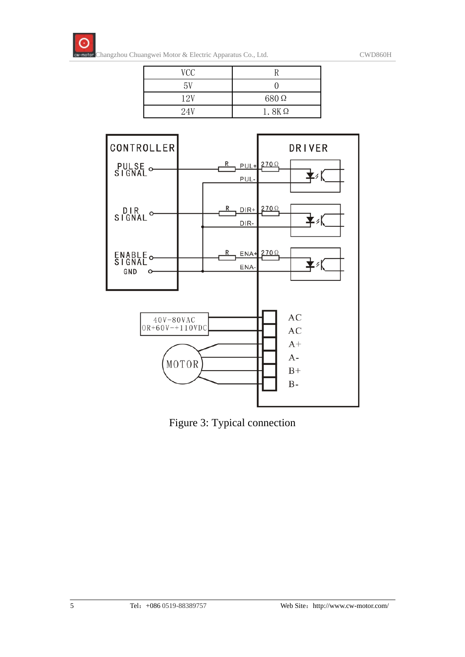

| VCC  |              |
|------|--------------|
| 5V   |              |
| 12V  | 680Ω         |
| 2.4V | $1.8K\Omega$ |



Figure 3: Typical connection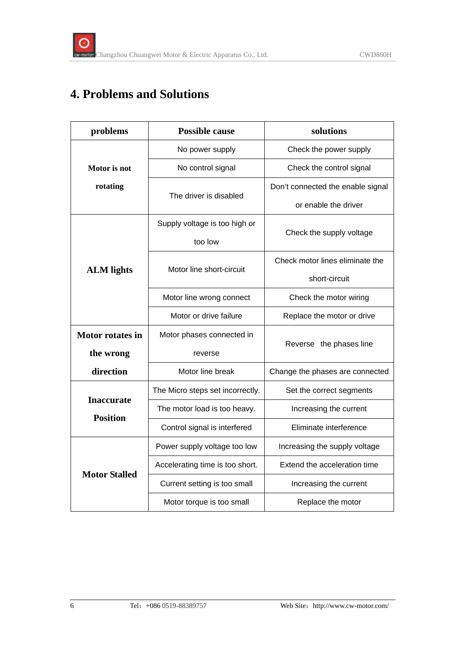# **4. Problems and Solutions**

| problems                             | <b>Possible cause</b>            | solutions                         |  |
|--------------------------------------|----------------------------------|-----------------------------------|--|
|                                      | No power supply                  | Check the power supply            |  |
| Motor is not                         | No control signal                | Check the control signal          |  |
| rotating                             |                                  | Don't connected the enable signal |  |
|                                      | The driver is disabled           | or enable the driver              |  |
|                                      | Supply voltage is too high or    | Check the supply voltage          |  |
|                                      | too low                          |                                   |  |
|                                      | Motor line short-circuit         | Check motor lines eliminate the   |  |
| <b>ALM</b> lights                    |                                  | short-circuit                     |  |
|                                      | Motor line wrong connect         | Check the motor wiring            |  |
|                                      | Motor or drive failure           | Replace the motor or drive        |  |
| <b>Motor rotates in</b>              | Motor phases connected in        |                                   |  |
| the wrong                            | reverse                          | Reverse the phases line           |  |
| direction                            | Motor line break                 | Change the phases are connected   |  |
|                                      | The Micro steps set incorrectly. | Set the correct segments          |  |
| <b>Inaccurate</b><br><b>Position</b> | The motor load is too heavy.     | Increasing the current            |  |
|                                      | Control signal is interfered     | Eliminate interference            |  |
| <b>Motor Stalled</b>                 | Power supply voltage too low     | Increasing the supply voltage     |  |
|                                      | Accelerating time is too short.  | Extend the acceleration time      |  |
|                                      | Current setting is too small     | Increasing the current            |  |
|                                      | Motor torque is too small        | Replace the motor                 |  |